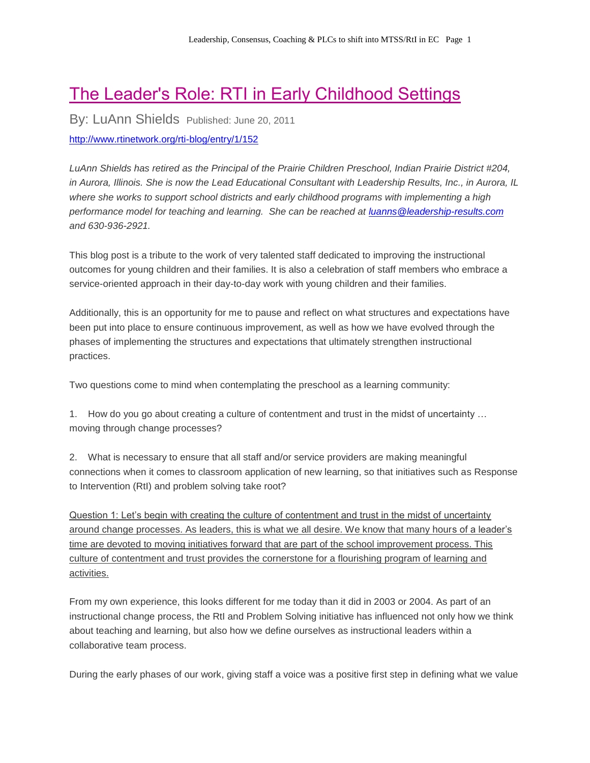## The Leader's Role: RTI in Early Childhood Settings

By: LuAnn Shields Published: June 20, 2011

<http://www.rtinetwork.org/rti-blog/entry/1/152>

*LuAnn Shields has retired as the Principal of the Prairie Children Preschool, Indian Prairie District #204, in Aurora, Illinois. She is now the Lead Educational Consultant with Leadership Results, Inc., in Aurora, IL where she works to support school districts and early childhood programs with implementing a high performance model for teaching and learning. She can be reached at [luanns@leadership-results.com](mailto:luanns@leadership-results.com) and 630-936-2921.* 

This blog post is a tribute to the work of very talented staff dedicated to improving the instructional outcomes for young children and their families. It is also a celebration of staff members who embrace a service-oriented approach in their day-to-day work with young children and their families.

Additionally, this is an opportunity for me to pause and reflect on what structures and expectations have been put into place to ensure continuous improvement, as well as how we have evolved through the phases of implementing the structures and expectations that ultimately strengthen instructional practices.

Two questions come to mind when contemplating the preschool as a learning community:

1. How do you go about creating a culture of contentment and trust in the midst of uncertainty … moving through change processes?

2. What is necessary to ensure that all staff and/or service providers are making meaningful connections when it comes to classroom application of new learning, so that initiatives such as Response to Intervention (RtI) and problem solving take root?

Question 1: Let's begin with creating the culture of contentment and trust in the midst of uncertainty around change processes. As leaders, this is what we all desire. We know that many hours of a leader's time are devoted to moving initiatives forward that are part of the school improvement process. This culture of contentment and trust provides the cornerstone for a flourishing program of learning and activities.

From my own experience, this looks different for me today than it did in 2003 or 2004. As part of an instructional change process, the RtI and Problem Solving initiative has influenced not only how we think about teaching and learning, but also how we define ourselves as instructional leaders within a collaborative team process.

During the early phases of our work, giving staff a voice was a positive first step in defining what we value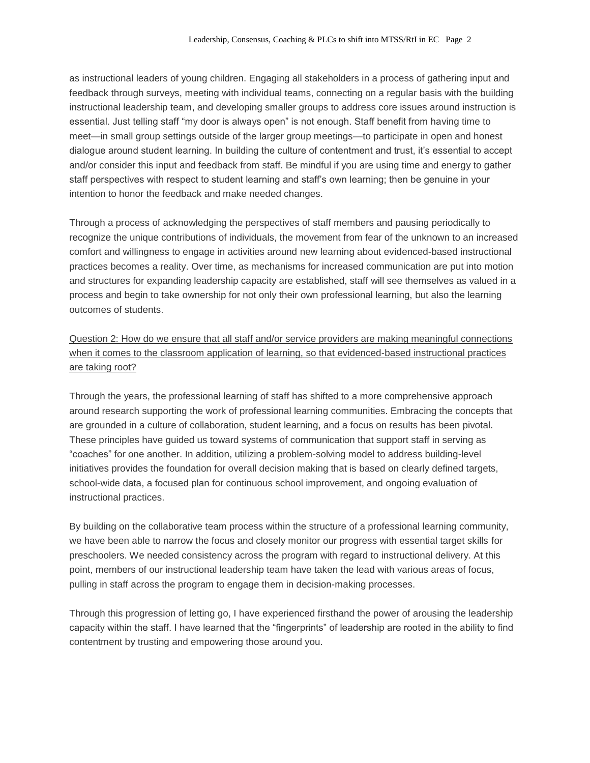as instructional leaders of young children. Engaging all stakeholders in a process of gathering input and feedback through surveys, meeting with individual teams, connecting on a regular basis with the building instructional leadership team, and developing smaller groups to address core issues around instruction is essential. Just telling staff "my door is always open" is not enough. Staff benefit from having time to meet—in small group settings outside of the larger group meetings—to participate in open and honest dialogue around student learning. In building the culture of contentment and trust, it's essential to accept and/or consider this input and feedback from staff. Be mindful if you are using time and energy to gather staff perspectives with respect to student learning and staff's own learning; then be genuine in your intention to honor the feedback and make needed changes.

Through a process of acknowledging the perspectives of staff members and pausing periodically to recognize the unique contributions of individuals, the movement from fear of the unknown to an increased comfort and willingness to engage in activities around new learning about evidenced-based instructional practices becomes a reality. Over time, as mechanisms for increased communication are put into motion and structures for expanding leadership capacity are established, staff will see themselves as valued in a process and begin to take ownership for not only their own professional learning, but also the learning outcomes of students.

Question 2: How do we ensure that all staff and/or service providers are making meaningful connections when it comes to the classroom application of learning, so that evidenced-based instructional practices are taking root?

Through the years, the professional learning of staff has shifted to a more comprehensive approach around research supporting the work of professional learning communities. Embracing the concepts that are grounded in a culture of collaboration, student learning, and a focus on results has been pivotal. These principles have guided us toward systems of communication that support staff in serving as "coaches" for one another. In addition, utilizing a problem-solving model to address building-level initiatives provides the foundation for overall decision making that is based on clearly defined targets, school-wide data, a focused plan for continuous school improvement, and ongoing evaluation of instructional practices.

By building on the collaborative team process within the structure of a professional learning community, we have been able to narrow the focus and closely monitor our progress with essential target skills for preschoolers. We needed consistency across the program with regard to instructional delivery. At this point, members of our instructional leadership team have taken the lead with various areas of focus, pulling in staff across the program to engage them in decision-making processes.

Through this progression of letting go, I have experienced firsthand the power of arousing the leadership capacity within the staff. I have learned that the "fingerprints" of leadership are rooted in the ability to find contentment by trusting and empowering those around you.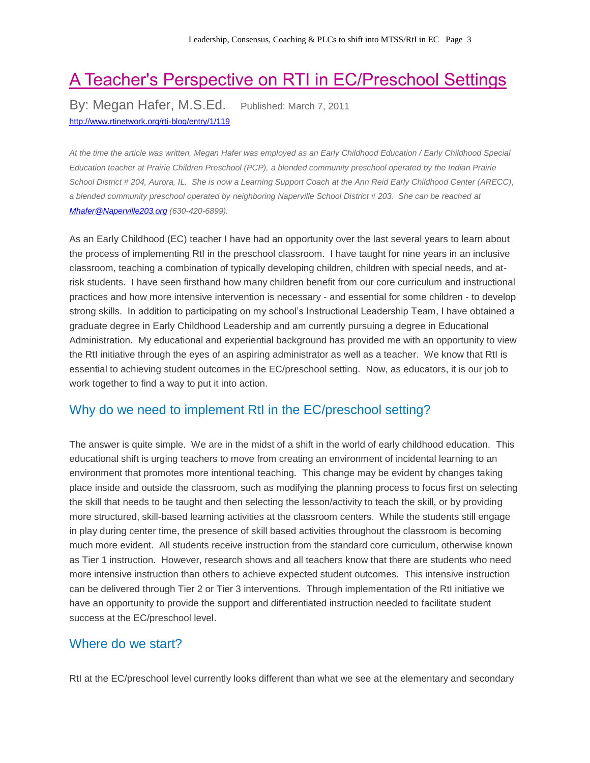# A Teacher's Perspective on RTI in EC/Preschool Settings

By: Megan Hafer, M.S.Ed. Published: March 7, 2011 <http://www.rtinetwork.org/rti-blog/entry/1/119>

*At the time the article was written, Megan Hafer was employed as an Early Childhood Education / Early Childhood Special Education teacher at Prairie Children Preschool (PCP), a blended community preschool operated by the Indian Prairie School District # 204, Aurora, IL. She is now a Learning Support Coach at the Ann Reid Early Childhood Center (ARECC), a blended community preschool operated by neighboring Naperville School District # 203. She can be reached at [Mhafer@Naperville203.org](mailto:Mhafer@Naperville203.org) (630-420-6899).*

As an Early Childhood (EC) teacher I have had an opportunity over the last several years to learn about the process of implementing RtI in the preschool classroom. I have taught for nine years in an inclusive classroom, teaching a combination of typically developing children, children with special needs, and atrisk students. I have seen firsthand how many children benefit from our core curriculum and instructional practices and how more intensive intervention is necessary - and essential for some children - to develop strong skills. In addition to participating on my school's Instructional Leadership Team, I have obtained a graduate degree in Early Childhood Leadership and am currently pursuing a degree in Educational Administration. My educational and experiential background has provided me with an opportunity to view the RtI initiative through the eyes of an aspiring administrator as well as a teacher. We know that RtI is essential to achieving student outcomes in the EC/preschool setting. Now, as educators, it is our job to work together to find a way to put it into action.

### Why do we need to implement RtI in the EC/preschool setting?

The answer is quite simple. We are in the midst of a shift in the world of early childhood education. This educational shift is urging teachers to move from creating an environment of incidental learning to an environment that promotes more intentional teaching. This change may be evident by changes taking place inside and outside the classroom, such as modifying the planning process to focus first on selecting the skill that needs to be taught and then selecting the lesson/activity to teach the skill, or by providing more structured, skill-based learning activities at the classroom centers. While the students still engage in play during center time, the presence of skill based activities throughout the classroom is becoming much more evident. All students receive instruction from the standard core curriculum, otherwise known as Tier 1 instruction. However, research shows and all teachers know that there are students who need more intensive instruction than others to achieve expected student outcomes. This intensive instruction can be delivered through Tier 2 or Tier 3 interventions. Through implementation of the RtI initiative we have an opportunity to provide the support and differentiated instruction needed to facilitate student success at the EC/preschool level.

#### Where do we start?

RtI at the EC/preschool level currently looks different than what we see at the elementary and secondary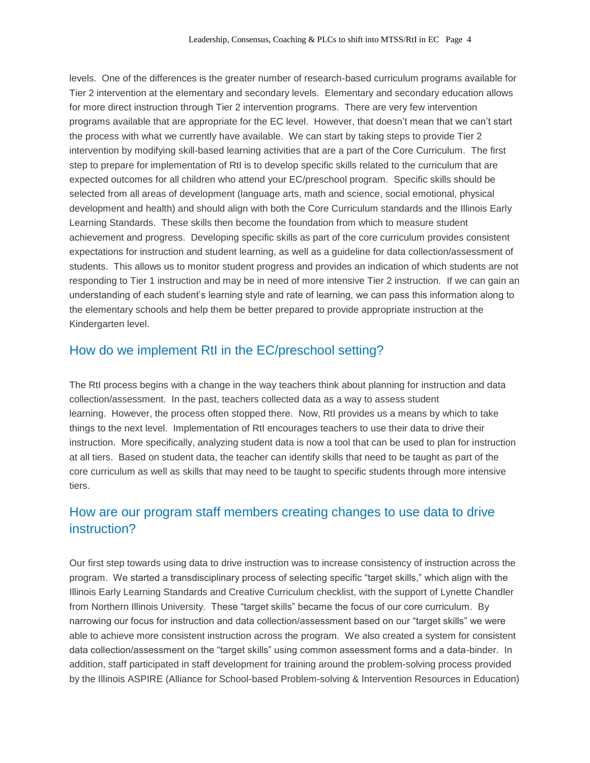levels. One of the differences is the greater number of research-based curriculum programs available for Tier 2 intervention at the elementary and secondary levels. Elementary and secondary education allows for more direct instruction through Tier 2 intervention programs. There are very few intervention programs available that are appropriate for the EC level. However, that doesn't mean that we can't start the process with what we currently have available. We can start by taking steps to provide Tier 2 intervention by modifying skill-based learning activities that are a part of the Core Curriculum. The first step to prepare for implementation of RtI is to develop specific skills related to the curriculum that are expected outcomes for all children who attend your EC/preschool program. Specific skills should be selected from all areas of development (language arts, math and science, social emotional, physical development and health) and should align with both the Core Curriculum standards and the Illinois Early Learning Standards. These skills then become the foundation from which to measure student achievement and progress. Developing specific skills as part of the core curriculum provides consistent expectations for instruction and student learning, as well as a guideline for data collection/assessment of students. This allows us to monitor student progress and provides an indication of which students are not responding to Tier 1 instruction and may be in need of more intensive Tier 2 instruction. If we can gain an understanding of each student's learning style and rate of learning, we can pass this information along to the elementary schools and help them be better prepared to provide appropriate instruction at the Kindergarten level.

#### How do we implement RtI in the EC/preschool setting?

The RtI process begins with a change in the way teachers think about planning for instruction and data collection/assessment. In the past, teachers collected data as a way to assess student learning. However, the process often stopped there. Now, RtI provides us a means by which to take things to the next level. Implementation of RtI encourages teachers to use their data to drive their instruction. More specifically, analyzing student data is now a tool that can be used to plan for instruction at all tiers. Based on student data, the teacher can identify skills that need to be taught as part of the core curriculum as well as skills that may need to be taught to specific students through more intensive tiers.

### How are our program staff members creating changes to use data to drive instruction?

Our first step towards using data to drive instruction was to increase consistency of instruction across the program. We started a transdisciplinary process of selecting specific "target skills," which align with the Illinois Early Learning Standards and Creative Curriculum checklist, with the support of Lynette Chandler from Northern Illinois University. These "target skills" became the focus of our core curriculum. By narrowing our focus for instruction and data collection/assessment based on our "target skills" we were able to achieve more consistent instruction across the program. We also created a system for consistent data collection/assessment on the "target skills" using common assessment forms and a data-binder. In addition, staff participated in staff development for training around the problem-solving process provided by the Illinois ASPIRE (Alliance for School-based Problem-solving & Intervention Resources in Education)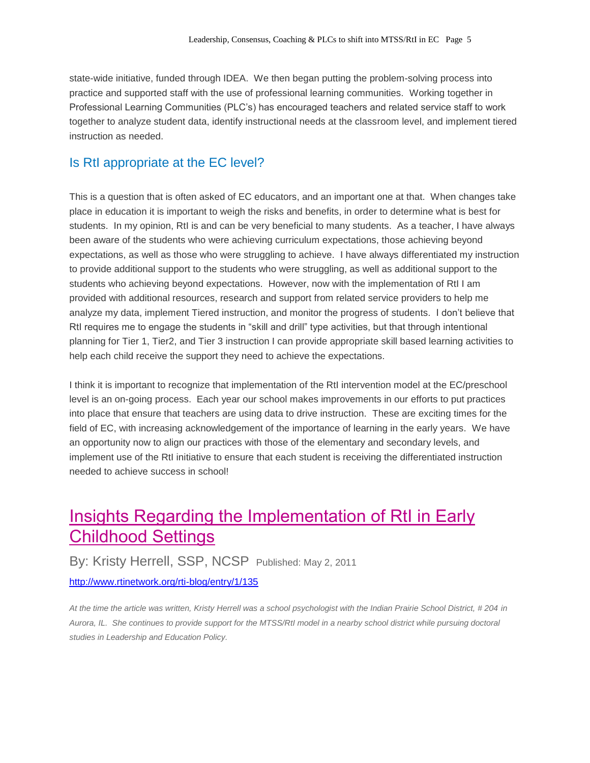state-wide initiative, funded through IDEA. We then began putting the problem-solving process into practice and supported staff with the use of professional learning communities. Working together in Professional Learning Communities (PLC's) has encouraged teachers and related service staff to work together to analyze student data, identify instructional needs at the classroom level, and implement tiered instruction as needed.

### Is RtI appropriate at the EC level?

This is a question that is often asked of EC educators, and an important one at that. When changes take place in education it is important to weigh the risks and benefits, in order to determine what is best for students. In my opinion, RtI is and can be very beneficial to many students. As a teacher, I have always been aware of the students who were achieving curriculum expectations, those achieving beyond expectations, as well as those who were struggling to achieve. I have always differentiated my instruction to provide additional support to the students who were struggling, as well as additional support to the students who achieving beyond expectations. However, now with the implementation of RtI I am provided with additional resources, research and support from related service providers to help me analyze my data, implement Tiered instruction, and monitor the progress of students. I don't believe that RtI requires me to engage the students in "skill and drill" type activities, but that through intentional planning for Tier 1, Tier2, and Tier 3 instruction I can provide appropriate skill based learning activities to help each child receive the support they need to achieve the expectations.

I think it is important to recognize that implementation of the RtI intervention model at the EC/preschool level is an on-going process. Each year our school makes improvements in our efforts to put practices into place that ensure that teachers are using data to drive instruction. These are exciting times for the field of EC, with increasing acknowledgement of the importance of learning in the early years. We have an opportunity now to align our practices with those of the elementary and secondary levels, and implement use of the RtI initiative to ensure that each student is receiving the differentiated instruction needed to achieve success in school!

### Insights Regarding the Implementation of RtI in Early Childhood Settings

By: Kristy Herrell, SSP, NCSP Published: May 2, 2011

<http://www.rtinetwork.org/rti-blog/entry/1/135>

*At the time the article was written, Kristy Herrell was a school psychologist with the Indian Prairie School District, # 204 in Aurora, IL. She continues to provide support for the MTSS/RtI model in a nearby school district while pursuing doctoral studies in Leadership and Education Policy.*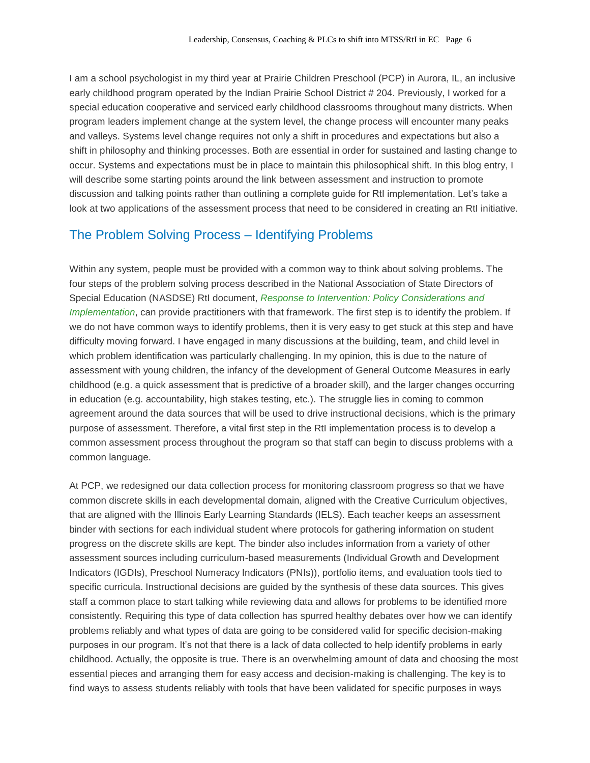I am a school psychologist in my third year at Prairie Children Preschool (PCP) in Aurora, IL, an inclusive early childhood program operated by the Indian Prairie School District # 204. Previously, I worked for a special education cooperative and serviced early childhood classrooms throughout many districts. When program leaders implement change at the system level, the change process will encounter many peaks and valleys. Systems level change requires not only a shift in procedures and expectations but also a shift in philosophy and thinking processes. Both are essential in order for sustained and lasting change to occur. Systems and expectations must be in place to maintain this philosophical shift. In this blog entry, I will describe some starting points around the link between assessment and instruction to promote discussion and talking points rather than outlining a complete guide for RtI implementation. Let's take a look at two applications of the assessment process that need to be considered in creating an RtI initiative.

### The Problem Solving Process – Identifying Problems

Within any system, people must be provided with a common way to think about solving problems. The four steps of the problem solving process described in the National Association of State Directors of Special Education (NASDSE) RtI document, *Response to Intervention: Policy [Considerations](http://www.nasdse.org/?TabID=448&TabIDOrig=450&ProductID=1278&categoryid=0&langID=0&CurrPage=1&Search=PNA-0525&SearchCurrPage=1&cs=0&tmpModID=-1) and [Implementation](http://www.nasdse.org/?TabID=448&TabIDOrig=450&ProductID=1278&categoryid=0&langID=0&CurrPage=1&Search=PNA-0525&SearchCurrPage=1&cs=0&tmpModID=-1)*, can provide practitioners with that framework. The first step is to identify the problem. If we do not have common ways to identify problems, then it is very easy to get stuck at this step and have difficulty moving forward. I have engaged in many discussions at the building, team, and child level in which problem identification was particularly challenging. In my opinion, this is due to the nature of assessment with young children, the infancy of the development of General Outcome Measures in early childhood (e.g. a quick assessment that is predictive of a broader skill), and the larger changes occurring in education (e.g. accountability, high stakes testing, etc.). The struggle lies in coming to common agreement around the data sources that will be used to drive instructional decisions, which is the primary purpose of assessment. Therefore, a vital first step in the RtI implementation process is to develop a common assessment process throughout the program so that staff can begin to discuss problems with a common language.

At PCP, we redesigned our data collection process for monitoring classroom progress so that we have common discrete skills in each developmental domain, aligned with the Creative Curriculum objectives, that are aligned with the Illinois Early Learning Standards (IELS). Each teacher keeps an assessment binder with sections for each individual student where protocols for gathering information on student progress on the discrete skills are kept. The binder also includes information from a variety of other assessment sources including curriculum-based measurements (Individual Growth and Development Indicators (IGDIs), Preschool Numeracy Indicators (PNIs)), portfolio items, and evaluation tools tied to specific curricula. Instructional decisions are guided by the synthesis of these data sources. This gives staff a common place to start talking while reviewing data and allows for problems to be identified more consistently. Requiring this type of data collection has spurred healthy debates over how we can identify problems reliably and what types of data are going to be considered valid for specific decision-making purposes in our program. It's not that there is a lack of data collected to help identify problems in early childhood. Actually, the opposite is true. There is an overwhelming amount of data and choosing the most essential pieces and arranging them for easy access and decision-making is challenging. The key is to find ways to assess students reliably with tools that have been validated for specific purposes in ways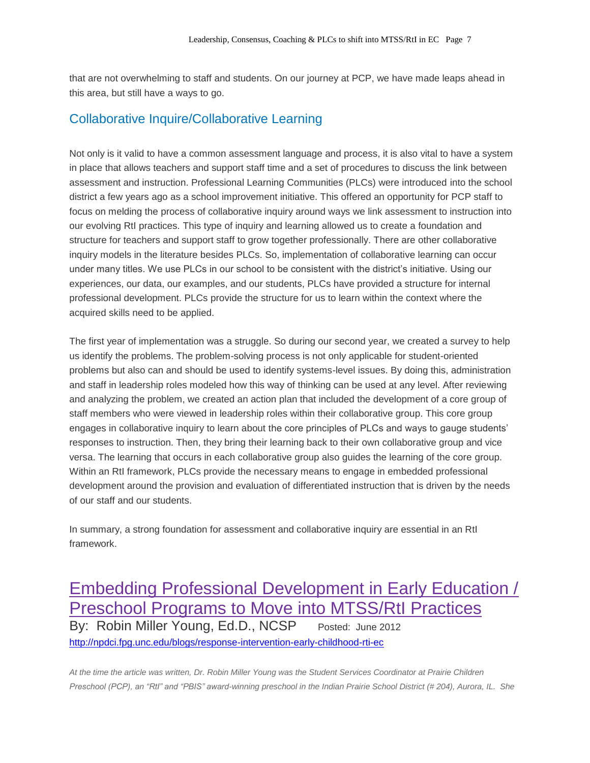that are not overwhelming to staff and students. On our journey at PCP, we have made leaps ahead in this area, but still have a ways to go.

### Collaborative Inquire/Collaborative Learning

Not only is it valid to have a common assessment language and process, it is also vital to have a system in place that allows teachers and support staff time and a set of procedures to discuss the link between assessment and instruction. Professional Learning Communities (PLCs) were introduced into the school district a few years ago as a school improvement initiative. This offered an opportunity for PCP staff to focus on melding the process of collaborative inquiry around ways we link assessment to instruction into our evolving RtI practices. This type of inquiry and learning allowed us to create a foundation and structure for teachers and support staff to grow together professionally. There are other collaborative inquiry models in the literature besides PLCs. So, implementation of collaborative learning can occur under many titles. We use PLCs in our school to be consistent with the district's initiative. Using our experiences, our data, our examples, and our students, PLCs have provided a structure for internal professional development. PLCs provide the structure for us to learn within the context where the acquired skills need to be applied.

The first year of implementation was a struggle. So during our second year, we created a survey to help us identify the problems. The problem-solving process is not only applicable for student-oriented problems but also can and should be used to identify systems-level issues. By doing this, administration and staff in leadership roles modeled how this way of thinking can be used at any level. After reviewing and analyzing the problem, we created an action plan that included the development of a core group of staff members who were viewed in leadership roles within their collaborative group. This core group engages in collaborative inquiry to learn about the core principles of PLCs and ways to gauge students' responses to instruction. Then, they bring their learning back to their own collaborative group and vice versa. The learning that occurs in each collaborative group also guides the learning of the core group. Within an RtI framework, PLCs provide the necessary means to engage in embedded professional development around the provision and evaluation of differentiated instruction that is driven by the needs of our staff and our students.

In summary, a strong foundation for assessment and collaborative inquiry are essential in an RtI framework.

### Embedding Professional Development in Early Education / Preschool Programs to Move into MTSS/RtI Practices By: Robin Miller Young, Ed.D., NCSP Posted: June 2012 <http://npdci.fpg.unc.edu/blogs/response-intervention-early-childhood-rti-ec>

*At the time the article was written, Dr. Robin Miller Young was the Student Services Coordinator at Prairie Children Preschool (PCP), an "RtI" and "PBIS" award-winning preschool in the Indian Prairie School District (# 204), Aurora, IL. She*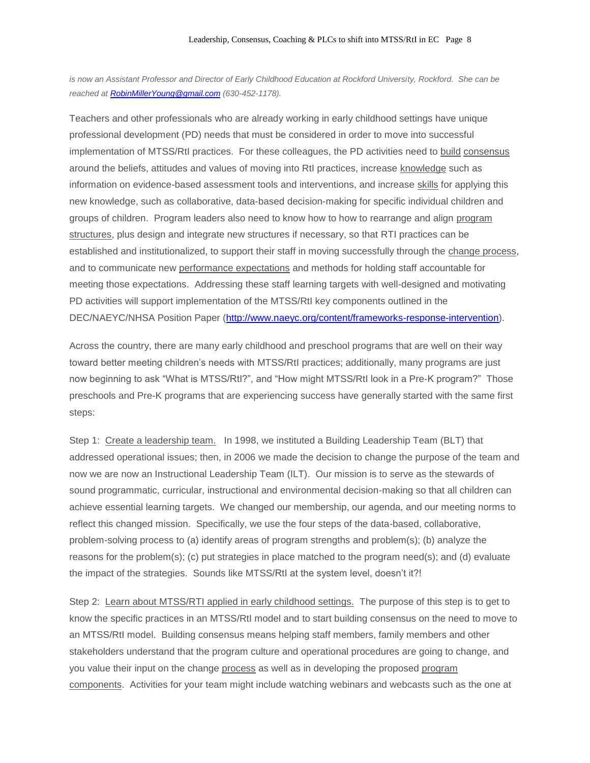is now an Assistant Professor and Director of Early Childhood Education at Rockford University, Rockford. She can be *reached a[t RobinMillerYoung@gmail.com](mailto:RobinMillerYoung@gmail.com) (630-452-1178).* 

Teachers and other professionals who are already working in early childhood settings have unique professional development (PD) needs that must be considered in order to move into successful implementation of MTSS/RtI practices. For these colleagues, the PD activities need to build consensus around the beliefs, attitudes and values of moving into RtI practices, increase knowledge such as information on evidence-based assessment tools and interventions, and increase skills for applying this new knowledge, such as collaborative, data-based decision-making for specific individual children and groups of children. Program leaders also need to know how to how to rearrange and align program structures, plus design and integrate new structures if necessary, so that RTI practices can be established and institutionalized, to support their staff in moving successfully through the change process, and to communicate new performance expectations and methods for holding staff accountable for meeting those expectations. Addressing these staff learning targets with well-designed and motivating PD activities will support implementation of the MTSS/RtI key components outlined in the DEC/NAEYC/NHSA Position Paper [\(http://www.naeyc.org/content/frameworks-response-intervention\)](http://www.naeyc.org/content/frameworks-response-intervention).

Across the country, there are many early childhood and preschool programs that are well on their way toward better meeting children's needs with MTSS/RtI practices; additionally, many programs are just now beginning to ask "What is MTSS/RtI?", and "How might MTSS/RtI look in a Pre-K program?" Those preschools and Pre-K programs that are experiencing success have generally started with the same first steps:

Step 1: Create a leadership team. In 1998, we instituted a Building Leadership Team (BLT) that addressed operational issues; then, in 2006 we made the decision to change the purpose of the team and now we are now an Instructional Leadership Team (ILT). Our mission is to serve as the stewards of sound programmatic, curricular, instructional and environmental decision-making so that all children can achieve essential learning targets. We changed our membership, our agenda, and our meeting norms to reflect this changed mission. Specifically, we use the four steps of the data-based, collaborative, problem-solving process to (a) identify areas of program strengths and problem(s); (b) analyze the reasons for the problem(s); (c) put strategies in place matched to the program need(s); and (d) evaluate the impact of the strategies. Sounds like MTSS/RtI at the system level, doesn't it?!

Step 2: Learn about MTSS/RTI applied in early childhood settings. The purpose of this step is to get to know the specific practices in an MTSS/RtI model and to start building consensus on the need to move to an MTSS/RtI model. Building consensus means helping staff members, family members and other stakeholders understand that the program culture and operational procedures are going to change, and you value their input on the change process as well as in developing the proposed program components. Activities for your team might include watching webinars and webcasts such as the one at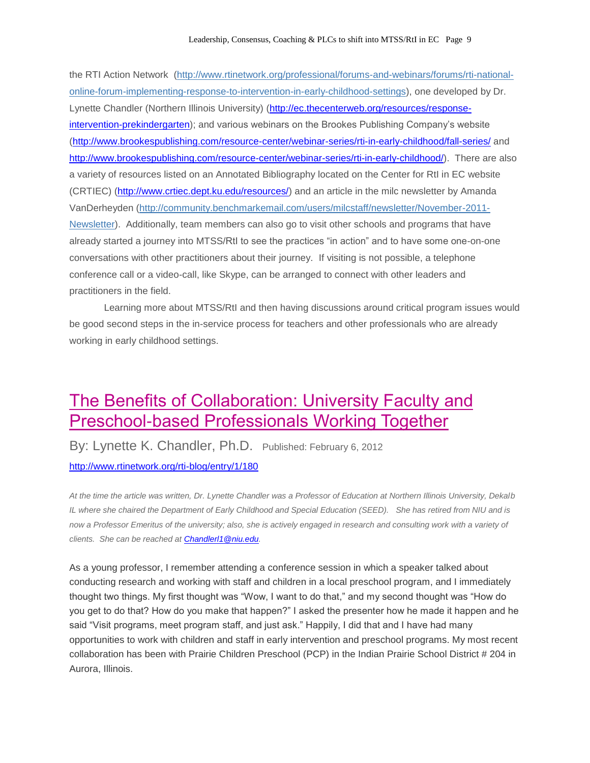the RTI Action Network [\(http://www.rtinetwork.org/professional/forums-and-webinars/forums/rti-national](http://www.rtinetwork.org/professional/forums-and-webinars/forums/rti-national-online-forum-implementing-response-to-intervention-in-early-childhood-settings)[online-forum-implementing-response-to-intervention-in-early-childhood-settings\)](http://www.rtinetwork.org/professional/forums-and-webinars/forums/rti-national-online-forum-implementing-response-to-intervention-in-early-childhood-settings), one developed by Dr. Lynette Chandler (Northern Illinois University) [\(http://ec.thecenterweb.org/resources/response](http://ec.thecenterweb.org/resources/response-intervention-prekindergarten)[intervention-prekindergarten\)](http://ec.thecenterweb.org/resources/response-intervention-prekindergarten); and various webinars on the Brookes Publishing Company's website [\(http://www.brookespublishing.com/resource-center/webinar-series/rti-in-early-childhood/fall-series/](http://www.brookespublishing.com/resource-center/webinar-series/rti-in-early-childhood/fall-series/) and [http://www.brookespublishing.com/resource-center/webinar-series/rti-in-early-childhood/\)](http://www.brookespublishing.com/resource-center/webinar-series/rti-in-early-childhood/). There are also a variety of resources listed on an Annotated Bibliography located on the Center for RtI in EC website (CRTIEC) [\(http://www.crtiec.dept.ku.edu/resources/\)](http://www.crtiec.dept.ku.edu/resources/) and an article in the milc newsletter by Amanda VanDerheyden [\(http://community.benchmarkemail.com/users/milcstaff/newsletter/November-2011-](http://community.benchmarkemail.com/users/milcstaff/newsletter/November-2011-Newsletter) [Newsletter\)](http://community.benchmarkemail.com/users/milcstaff/newsletter/November-2011-Newsletter). Additionally, team members can also go to visit other schools and programs that have already started a journey into MTSS/RtI to see the practices "in action" and to have some one-on-one conversations with other practitioners about their journey. If visiting is not possible, a telephone conference call or a video-call, like Skype, can be arranged to connect with other leaders and practitioners in the field.

Learning more about MTSS/RtI and then having discussions around critical program issues would be good second steps in the in-service process for teachers and other professionals who are already working in early childhood settings.

### The Benefits of Collaboration: University Faculty and Preschool-based Professionals Working Together

By: Lynette K. Chandler, Ph.D. Published: February 6, 2012 <http://www.rtinetwork.org/rti-blog/entry/1/180>

*At the time the article was written, Dr. Lynette Chandler was a Professor of Education at Northern Illinois University, Dekalb IL where she chaired the Department of Early Childhood and Special Education (SEED). She has retired from NIU and is now a Professor Emeritus of the university; also, she is actively engaged in research and consulting work with a variety of clients. She can be reached at [Chandlerl1@niu.edu.](mailto:Chandlerl1@niu.edu)* 

As a young professor, I remember attending a conference session in which a speaker talked about conducting research and working with staff and children in a local preschool program, and I immediately thought two things. My first thought was "Wow, I want to do that," and my second thought was "How do you get to do that? How do you make that happen?" I asked the presenter how he made it happen and he said "Visit programs, meet program staff, and just ask." Happily, I did that and I have had many opportunities to work with children and staff in early intervention and preschool programs. My most recent collaboration has been with Prairie Children Preschool (PCP) in the Indian Prairie School District # 204 in Aurora, Illinois.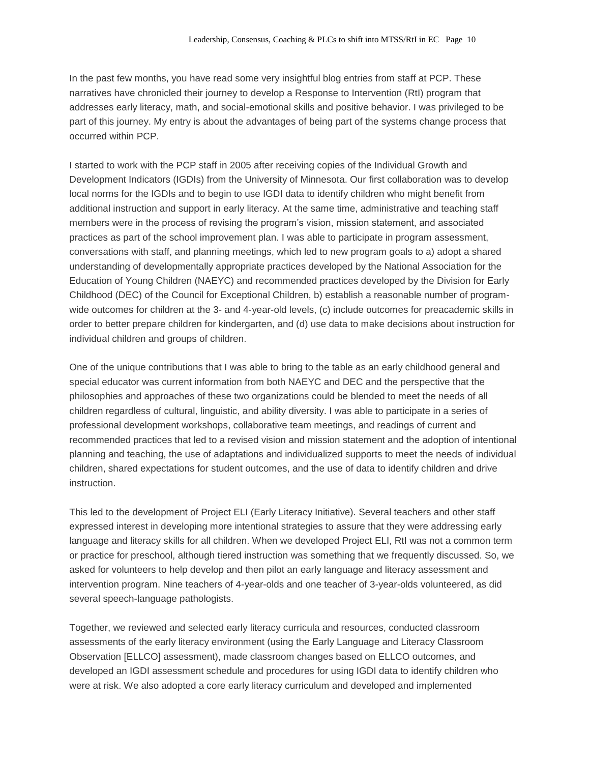In the past few months, you have read some very insightful blog entries from staff at PCP. These narratives have chronicled their journey to develop a Response to Intervention (RtI) program that addresses early literacy, math, and social-emotional skills and positive behavior. I was privileged to be part of this journey. My entry is about the advantages of being part of the systems change process that occurred within PCP.

I started to work with the PCP staff in 2005 after receiving copies of the Individual Growth and Development Indicators (IGDIs) from the University of Minnesota. Our first collaboration was to develop local norms for the IGDIs and to begin to use IGDI data to identify children who might benefit from additional instruction and support in early literacy. At the same time, administrative and teaching staff members were in the process of revising the program's vision, mission statement, and associated practices as part of the school improvement plan. I was able to participate in program assessment, conversations with staff, and planning meetings, which led to new program goals to a) adopt a shared understanding of developmentally appropriate practices developed by the National Association for the Education of Young Children (NAEYC) and recommended practices developed by the Division for Early Childhood (DEC) of the Council for Exceptional Children, b) establish a reasonable number of programwide outcomes for children at the 3- and 4-year-old levels, (c) include outcomes for preacademic skills in order to better prepare children for kindergarten, and (d) use data to make decisions about instruction for individual children and groups of children.

One of the unique contributions that I was able to bring to the table as an early childhood general and special educator was current information from both NAEYC and DEC and the perspective that the philosophies and approaches of these two organizations could be blended to meet the needs of all children regardless of cultural, linguistic, and ability diversity. I was able to participate in a series of professional development workshops, collaborative team meetings, and readings of current and recommended practices that led to a revised vision and mission statement and the adoption of intentional planning and teaching, the use of adaptations and individualized supports to meet the needs of individual children, shared expectations for student outcomes, and the use of data to identify children and drive instruction.

This led to the development of Project ELI (Early Literacy Initiative). Several teachers and other staff expressed interest in developing more intentional strategies to assure that they were addressing early language and literacy skills for all children. When we developed Project ELI, RtI was not a common term or practice for preschool, although tiered instruction was something that we frequently discussed. So, we asked for volunteers to help develop and then pilot an early language and literacy assessment and intervention program. Nine teachers of 4-year-olds and one teacher of 3-year-olds volunteered, as did several speech-language pathologists.

Together, we reviewed and selected early literacy curricula and resources, conducted classroom assessments of the early literacy environment (using the Early Language and Literacy Classroom Observation [ELLCO] assessment), made classroom changes based on ELLCO outcomes, and developed an IGDI assessment schedule and procedures for using IGDI data to identify children who were at risk. We also adopted a core early literacy curriculum and developed and implemented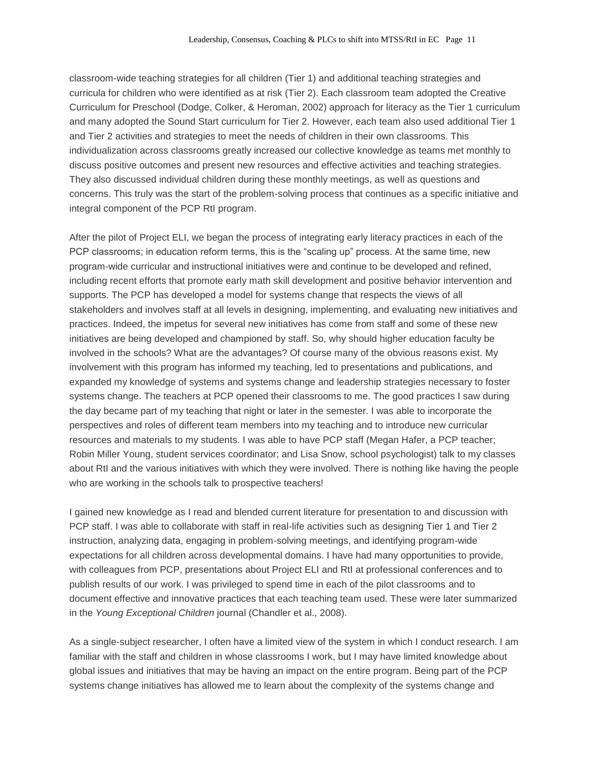classroom-wide teaching strategies for all children (Tier 1) and additional teaching strategies and curricula for children who were identified as at risk (Tier 2). Each classroom team adopted the Creative Curriculum for Preschool (Dodge, Colker, & Heroman, 2002) approach for literacy as the Tier 1 curriculum and many adopted the Sound Start curriculum for Tier 2. However, each team also used additional Tier 1 and Tier 2 activities and strategies to meet the needs of children in their own classrooms. This individualization across classrooms greatly increased our collective knowledge as teams met monthly to discuss positive outcomes and present new resources and effective activities and teaching strategies. They also discussed individual children during these monthly meetings, as well as questions and concerns. This truly was the start of the problem-solving process that continues as a specific initiative and integral component of the PCP RtI program.

After the pilot of Project ELI, we began the process of integrating early literacy practices in each of the PCP classrooms; in education reform terms, this is the "scaling up" process. At the same time, new program-wide curricular and instructional initiatives were and continue to be developed and refined, including recent efforts that promote early math skill development and positive behavior intervention and supports. The PCP has developed a model for systems change that respects the views of all stakeholders and involves staff at all levels in designing, implementing, and evaluating new initiatives and practices. Indeed, the impetus for several new initiatives has come from staff and some of these new initiatives are being developed and championed by staff. So, why should higher education faculty be involved in the schools? What are the advantages? Of course many of the obvious reasons exist. My involvement with this program has informed my teaching, led to presentations and publications, and expanded my knowledge of systems and systems change and leadership strategies necessary to foster systems change. The teachers at PCP opened their classrooms to me. The good practices I saw during the day became part of my teaching that night or later in the semester. I was able to incorporate the perspectives and roles of different team members into my teaching and to introduce new curricular resources and materials to my students. I was able to have PCP staff (Megan Hafer, a PCP teacher; Robin Miller Young, student services coordinator; and Lisa Snow, school psychologist) talk to my classes about RtI and the various initiatives with which they were involved. There is nothing like having the people who are working in the schools talk to prospective teachers!

I gained new knowledge as I read and blended current literature for presentation to and discussion with PCP staff. I was able to collaborate with staff in real-life activities such as designing Tier 1 and Tier 2 instruction, analyzing data, engaging in problem-solving meetings, and identifying program-wide expectations for all children across developmental domains. I have had many opportunities to provide, with colleagues from PCP, presentations about Project ELI and RtI at professional conferences and to publish results of our work. I was privileged to spend time in each of the pilot classrooms and to document effective and innovative practices that each teaching team used. These were later summarized in the *Young Exceptional Children* journal (Chandler et al., 2008).

As a single-subject researcher, I often have a limited view of the system in which I conduct research. I am familiar with the staff and children in whose classrooms I work, but I may have limited knowledge about global issues and initiatives that may be having an impact on the entire program. Being part of the PCP systems change initiatives has allowed me to learn about the complexity of the systems change and